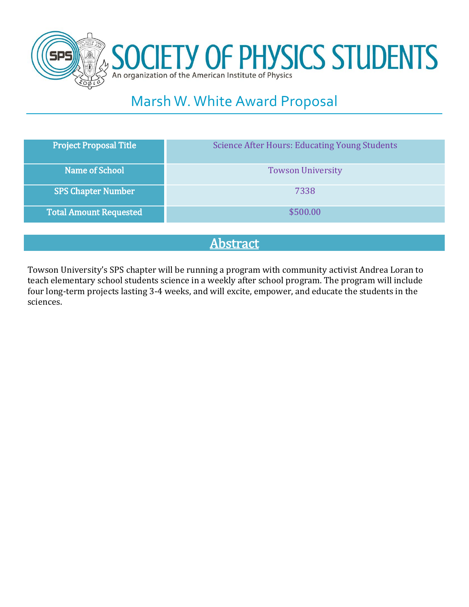



# Marsh W. White Award Proposal

| Name of School<br><b>Towson University</b> | <b>Project Proposal Title</b> | <b>Science After Hours: Educating Young Students</b> |
|--------------------------------------------|-------------------------------|------------------------------------------------------|
|                                            |                               |                                                      |
| <b>SPS Chapter Number</b><br>7338          |                               |                                                      |
| <b>Total Amount Requested</b><br>\$500.00  |                               |                                                      |

# Abstract

Towson University's SPS chapter will be running a program with community activist Andrea Loran to teach elementary school students science in a weekly after school program. The program will include four long-term projects lasting 3-4 weeks, and will excite, empower, and educate the students in the sciences.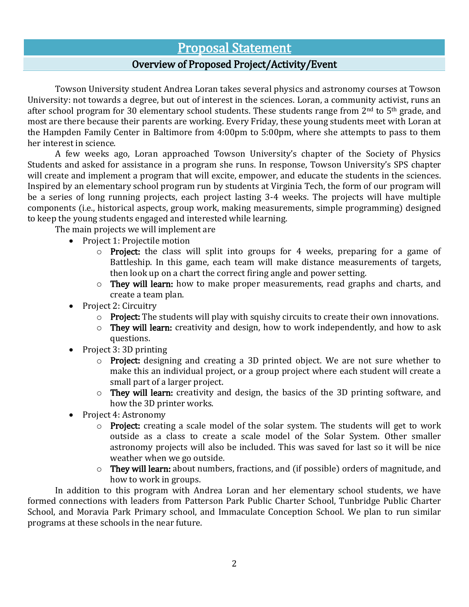### Proposal Statement

### Overview of Proposed Project/Activity/Event

Towson University student Andrea Loran takes several physics and astronomy courses at Towson University: not towards a degree, but out of interest in the sciences. Loran, a community activist, runs an after school program for 30 elementary school students. These students range from 2<sup>nd</sup> to 5<sup>th</sup> grade, and most are there because their parents are working. Every Friday, these young students meet with Loran at the Hampden Family Center in Baltimore from 4:00pm to 5:00pm, where she attempts to pass to them her interest in science.

A few weeks ago, Loran approached Towson University's chapter of the Society of Physics Students and asked for assistance in a program she runs. In response, Towson University's SPS chapter will create and implement a program that will excite, empower, and educate the students in the sciences. Inspired by an elementary school program run by students at Virginia Tech, the form of our program will be a series of long running projects, each project lasting 3-4 weeks. The projects will have multiple components (i.e., historical aspects, group work, making measurements, simple programming) designed to keep the young students engaged and interested while learning.

The main projects we will implement are

- Project 1: Projectile motion
	- o Project: the class will split into groups for 4 weeks, preparing for a game of Battleship. In this game, each team will make distance measurements of targets, then look up on a chart the correct firing angle and power setting.
	- o They will learn: how to make proper measurements, read graphs and charts, and create a team plan.
- Project 2: Circuitry
	- $\circ$  Project: The students will play with squishy circuits to create their own innovations.
	- $\circ$  They will learn: creativity and design, how to work independently, and how to ask questions.
- Project 3: 3D printing
	- o Project: designing and creating a 3D printed object. We are not sure whether to make this an individual project, or a group project where each student will create a small part of a larger project.
	- o They will learn: creativity and design, the basics of the 3D printing software, and how the 3D printer works.
- Project 4: Astronomy
	- $\circ$  Project: creating a scale model of the solar system. The students will get to work outside as a class to create a scale model of the Solar System. Other smaller astronomy projects will also be included. This was saved for last so it will be nice weather when we go outside.
	- o They will learn: about numbers, fractions, and (if possible) orders of magnitude, and how to work in groups.

In addition to this program with Andrea Loran and her elementary school students, we have formed connections with leaders from Patterson Park Public Charter School, Tunbridge Public Charter School, and Moravia Park Primary school, and Immaculate Conception School. We plan to run similar programs at these schools in the near future.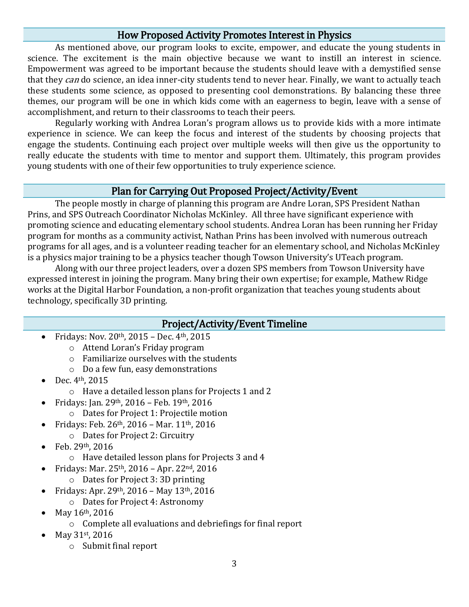### How Proposed Activity Promotes Interest in Physics

As mentioned above, our program looks to excite, empower, and educate the young students in science. The excitement is the main objective because we want to instill an interest in science. Empowerment was agreed to be important because the students should leave with a demystified sense that they can do science, an idea inner-city students tend to never hear. Finally, we want to actually teach these students some science, as opposed to presenting cool demonstrations. By balancing these three themes, our program will be one in which kids come with an eagerness to begin, leave with a sense of accomplishment, and return to their classrooms to teach their peers.

Regularly working with Andrea Loran's program allows us to provide kids with a more intimate experience in science. We can keep the focus and interest of the students by choosing projects that engage the students. Continuing each project over multiple weeks will then give us the opportunity to really educate the students with time to mentor and support them. Ultimately, this program provides young students with one of their few opportunities to truly experience science.

#### Plan for Carrying Out Proposed Project/Activity/Event

The people mostly in charge of planning this program are Andre Loran, SPS President Nathan Prins, and SPS Outreach Coordinator Nicholas McKinley. All three have significant experience with promoting science and educating elementary school students. Andrea Loran has been running her Friday program for months as a community activist, Nathan Prins has been involved with numerous outreach programs for all ages, and is a volunteer reading teacher for an elementary school, and Nicholas McKinley is a physics major training to be a physics teacher though Towson University's UTeach program.

Along with our three project leaders, over a dozen SPS members from Towson University have expressed interest in joining the program. Many bring their own expertise; for example, Mathew Ridge works at the Digital Harbor Foundation, a non-profit organization that teaches young students about technology, specifically 3D printing.

#### Project/Activity/Event Timeline

- Fridays: Nov. 20th, 2015 Dec. 4th, 2015
	- o Attend Loran's Friday program
	- o Familiarize ourselves with the students
	- o Do a few fun, easy demonstrations
- Dec. 4th, 2015
	- o Have a detailed lesson plans for Projects 1 and 2
	- Fridays: Jan. 29th, 2016 Feb. 19th, 2016
		- o Dates for Project 1: Projectile motion
- Fridays: Feb. 26th, 2016 Mar. 11th, 2016
	- o Dates for Project 2: Circuitry
- Feb.  $29<sup>th</sup>$ , 2016
	- o Have detailed lesson plans for Projects 3 and 4
	- Fridays: Mar. 25th, 2016 Apr. 22nd, 2016
		- o Dates for Project 3: 3D printing
	- Fridays: Apr. 29th, 2016 May 13th, 2016
		- o Dates for Project 4: Astronomy
- May 16th, 2016
	- o Complete all evaluations and debriefings for final report
- May 31st, 2016
	- o Submit final report